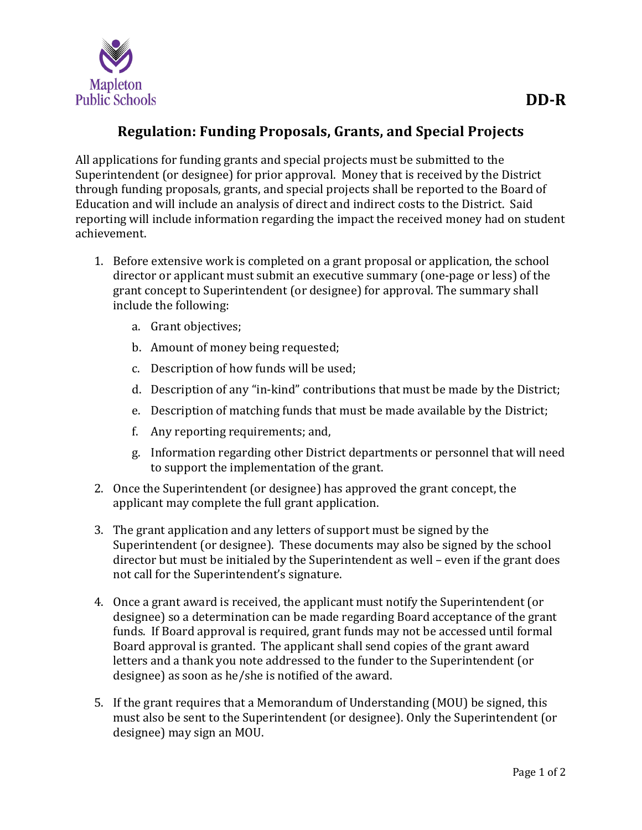

## **Regulation: Funding Proposals, Grants, and Special Projects**

All applications for funding grants and special projects must be submitted to the Superintendent (or designee) for prior approval. Money that is received by the District through funding proposals, grants, and special projects shall be reported to the Board of Education and will include an analysis of direct and indirect costs to the District. Said reporting will include information regarding the impact the received money had on student achievement.

- 1. Before extensive work is completed on a grant proposal or application, the school director or applicant must submit an executive summary (one-page or less) of the grant concept to Superintendent (or designee) for approval. The summary shall include the following:
	- a. Grant objectives;
	- b. Amount of money being requested;
	- c. Description of how funds will be used;
	- d. Description of any "in-kind" contributions that must be made by the District;
	- e. Description of matching funds that must be made available by the District;
	- f. Any reporting requirements; and,
	- g. Information regarding other District departments or personnel that will need to support the implementation of the grant.
- 2. Once the Superintendent (or designee) has approved the grant concept, the applicant may complete the full grant application.
- 3. The grant application and any letters of support must be signed by the Superintendent (or designee). These documents may also be signed by the school director but must be initialed by the Superintendent as well – even if the grant does not call for the Superintendent's signature.
- 4. Once a grant award is received, the applicant must notify the Superintendent (or designee) so a determination can be made regarding Board acceptance of the grant funds. If Board approval is required, grant funds may not be accessed until formal Board approval is granted. The applicant shall send copies of the grant award letters and a thank you note addressed to the funder to the Superintendent (or designee) as soon as he/she is notified of the award.
- 5. If the grant requires that a Memorandum of Understanding (MOU) be signed, this must also be sent to the Superintendent (or designee). Only the Superintendent (or designee) may sign an MOU.